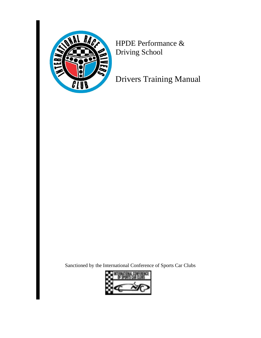

HPDE Performance & Driving School

Drivers Training Manual

Sanctioned by the International Conference of Sports Car Clubs

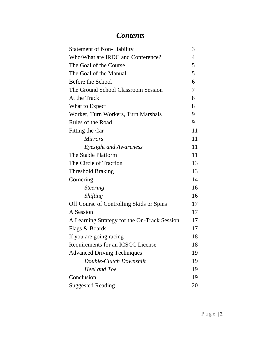# *Contents*

| <b>Statement of Non-Liability</b>            | 3  |
|----------------------------------------------|----|
| Who/What are IRDC and Conference?            | 4  |
| The Goal of the Course                       | 5  |
| The Goal of the Manual                       | 5  |
| Before the School                            | 6  |
| The Ground School Classroom Session          | 7  |
| At the Track                                 | 8  |
| What to Expect                               | 8  |
| Worker, Turn Workers, Turn Marshals          | 9  |
| Rules of the Road                            | 9  |
| Fitting the Car                              | 11 |
| <i>Mirrors</i>                               | 11 |
| Eyesight and Awareness                       | 11 |
| The Stable Platform                          | 11 |
| The Circle of Traction                       | 13 |
| <b>Threshold Braking</b>                     | 13 |
| Cornering                                    | 14 |
| <i>Steering</i>                              | 16 |
| <i><b>Shifting</b></i>                       | 16 |
| Off Course of Controlling Skids or Spins     | 17 |
| A Session                                    | 17 |
| A Learning Strategy for the On-Track Session | 17 |
| Flags & Boards                               | 17 |
| If you are going racing                      | 18 |
| Requirements for an ICSCC License            | 18 |
| <b>Advanced Driving Techniques</b>           | 19 |
| Double-Clutch Downshift                      | 19 |
| Heel and Toe                                 | 19 |
| Conclusion                                   | 19 |
| <b>Suggested Reading</b>                     | 20 |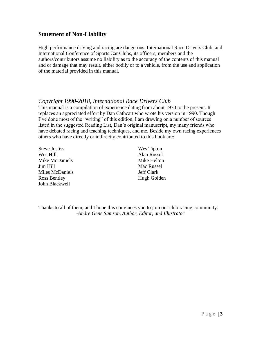# **Statement of Non-Liability**

High performance driving and racing are dangerous. International Race Drivers Club, and International Conference of Sports Car Clubs, its officers, members and the authors/contributors assume no liability as to the accuracy of the contents of this manual and or damage that may result, either bodily or to a vehicle, from the use and application of the material provided in this manual.

# *Copyright 1990-2018, International Race Drivers Club*

This manual is a compilation of experience dating from about 1970 to the present. It replaces an appreciated effort by Dan Cathcart who wrote his version in 1990. Though I've done most of the "writing" of this edition, I am drawing on a number of sources listed in the suggested Reading List, Dan's original manuscript, my many friends who have debated racing and teaching techniques, and me. Beside my own racing experiences others who have directly or indirectly contributed to this book are:

| <b>Steve Justiss</b> | Wes Tipton        |
|----------------------|-------------------|
| Wes Hill             | Alan Russel       |
| Mike McDaniels       | Mike Helton       |
| Jim Hill             | Mac Russel        |
| Miles McDaniels      | <b>Jeff Clark</b> |
| Ross Bentley         | Hugh Golden       |
| John Blackwell       |                   |

Thanks to all of them, and I hope this convinces you to join our club racing community. *-Andre Gene Samson, Author, Editor, and Illustrator*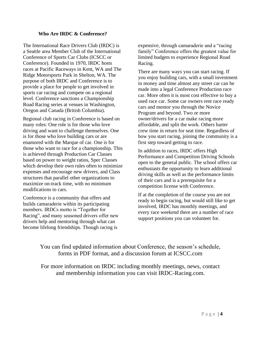#### **Who Are IRDC & Conference?**

The International Race Drivers Club (IRDC) is a Seattle area Member Club of the International Conference of Sports Car Clubs (ICSCC or Conference). Founded in 1970, IRDC hosts races at Pacific Raceways in Kent, WA and The Ridge Motorsports Park in Shelton, WA. The purpose of both IRDC and Conference is to provide a place for people to get involved in sports car racing and compete on a regional level. Conference sanctions a Championship Road Racing series at venues in Washington, Oregon and Canada (British Columbia).

Regional club racing in Conference is based on many roles: One role is for those who love driving and want to challenge themselves. One is for those who love building cars or are enamored with the Marque of car. One is for those who want to race for a championship. This is achieved through Production Car Classes based on power to weight ratios, Spec Classes which develop their own rules often to minimize expenses and encourage new drivers, and Class structures that parallel other organizations to maximize on-track time, with no minimum modifications to cars.

Conference is a community that offers and builds camaraderie within its participating members. IRDCs motto is "Together for Racing", and many seasoned drivers offer new drivers help and mentoring through what can become lifelong friendships. Though racing is

expensive, through camaraderie and a "racing family" Conference offers the greatest value for limited budgets to experience Regional Road Racing.

There are many ways you can start racing. If you enjoy building cars, with a small investment in money and time almost any street car can be made into a legal Conference Production race car. More often it is most cost effective to buy a used race car. Some car owners rent race ready cars and mentor you through the Novice Program and beyond. Two or more owner/drivers for a car make racing more affordable, and split the work. Others barter crew time in return for seat time. Regardless of how you start racing, joining the community is a first step toward getting to race.

In addition to races, IRDC offers High Performance and Competition Driving Schools open to the general public. The school offers car enthusiasts the opportunity to learn additional driving skills as well as the performance limits of their cars and is a prerequisite for a competition license with Conference.

If at the completion of the course you are not ready to begin racing, but would still like to get involved, IRDC has monthly meetings, and every race weekend there are a number of race support positions you can volunteer for.

You can find updated information about Conference, the season's schedule, forms in PDF format, and a discussion forum at ICSCC.com

For more information on IRDC including monthly meetings, news, contact and membership information you can visit IRDC-Racing.com.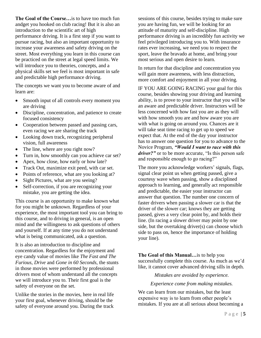**The Goal of the Course…**is to have too much fun andget you hooked on club racing! But it is also an introduction to the scientific art of high performance driving. It is a first step if you want to pursue racing, but also an important opportunity to increase your awareness and safety driving on the street. Most everything you learn in this course can be practiced on the street at legal speed limits. We will introduce you to theories, concepts, and a physical skills set we feel is most important in safe and predictable high performance driving.

The concepts we want you to become aware of and learn are:

- Smooth input of all controls every moment you are driving
- Discipline, concentration, and patience to create focused consistency
- Cooperation between passed and passing cars, even racing we are sharing the track
- Looking down track, recognizing peripheral vision, full awareness
- The line, where are you right now?
- Turn in, how smoothly can you achieve car set?
- Apex, how close, how early or how late?
- Track Out, maximize exit peed, with car set.
- Points of reference, what are you looking at?
- Sight Pictures, what are you seeing?
- Self-correction, if you are recognizing your mistake, you are getting the idea.

This course is an opportunity to make known what for you might be unknown. Regardless of your experience, the most important tool you can bring to this course, and to driving in general, is an open mind and the willingness to ask questions of others and yourself. If at any time you do not understand what is being communicated, ask a question.

It is also an introduction to discipline and concentration. Regardless for the enjoyment and eye candy value of movies like *The Fast and The Furious, Drive* and *Gone in 60 Seconds,* the stunts in those movies were performed by professional drivers most of whom understand all the concepts we will introduce you to. Their first goal is the safety of everyone on the set.

Unlike the stories in the movies, here in real life your first goal, whenever driving, should be the safety of everyone around you. During the track

sessions of this course, besides trying to make sure you are having fun, we will be looking for an attitude of maturity and self-discipline. High performance driving is an incredibly fun activity we feel privileged introducing you to. With insurance rates ever increasing, we need you to respect the sport, leave the bravado at home, and bring your most serious and open desire to learn.

In return for that discipline and concentration you will gain more awareness, with less distraction, more comfort and enjoyment in all your driving.

IF YOU ARE GOING RACING your goal for this course, besides showing your driving and learning ability, is to prove to your instructor that you will be an aware and predictable driver. Instructors will be less concerned with how fast you are as they will with how smooth you are and how aware you are with what is going on around you. Chances are it will take seat time racing to get up to speed we expect that. At the end of the day your instructor has to answer one question for you to advance to the Novice Program, *"Would I want to race with this driver?"* or to be more accurate, "Is this person safe and responsible enough to go racing?"

The more you acknowledge workers' signals, flags, signal clear point us when getting passed, give a courtesy wave when passing, show a disciplined approach to learning, and generally act responsible and predictable, the easier your instructor can answer that question. The number one concern of faster drivers when passing a slower car is that the driver of the slower car; knows they are getting passed, gives a very clear point by, and holds their line. (In racing a slower driver may point by one side, but the overtaking driver(s) can choose which side to pass on, hence the importance of holding your line).

**The Goal of this Manual…**is to help you successfully complete this course. As much as we'd like, it cannot cover advanced driving sills in depth.

*Mistakes are avoided by experience.*

*Experience come from making mistakes.*

We can learn from our mistakes, but the least expensive way is to learn from other people's mistakes. If you are at all serious about becoming a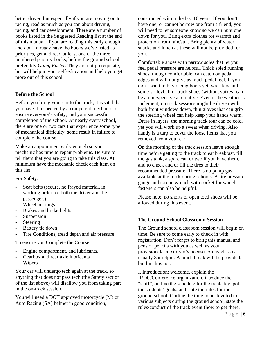better driver, but especially if you are moving on to racing, read as much as you can about driving, racing, and car development. There are a number of books listed in the Suggested Reading list at the end of this manual. If you are reading this early enough and don't already have the books we've listed as priorities, get and read at least one of the three numbered priority books, before the ground school, preferably *Going Faster*. They are not prerequisite, but will help in your self-education and help you get more out of this school.

# **Before the School**

Before you bring your car to the track, it is vital that you have it inspected by a competent mechanic to ensure everyone's safety, and your successful completion of the school. At nearly every school, there are one or two cars that experience some type of mechanical difficulty, some result in failure to complete the course.

Make an appointment early enough so your mechanic has time to repair problems. Be sure to tell them that you are going to take this class. At minimum have the mechanic check each item on this list:

For Safety:

- Seat belts (secure, no frayed material, in working order for both the driver and the passenger.)
- Wheel bearings
- Brakes and brake lights
- Suspension
- Steering
- Battery tie down
- Tire Conditions, tread depth and air pressure.

To ensure you Complete the Course:

- Engine compartment, and lubricants.
- Gearbox and rear axle lubricants
- Wipers

Your car will undergo tech again at the track, so anything that does not pass tech (the Safety section of the list above) will disallow you from taking part in the on-track session.

You will need a DOT approved motorcycle (M) or Auto Racing (SA) helmet in good condition,

constructed within the last 10 years. If you don't have one, or cannot borrow one from a friend, you will need to let someone know so we can hunt one down for you. Bring extra clothes for warmth and protection from rain/sun. Bring plenty of water, snacks and lunch as these will not be provided for you.

Comfortable shoes with narrow soles that let you feel pedal pressure are helpful. Thick soled running shoes, though comfortable, can catch on pedal edges and will not give as much pedal feel. If you don't want to buy racing boots yet, wrestlers and some volleyball or track shoes (without spikes) can be an inexpensive alternative. Even if the weather is inclement, on track sessions might be driven with both front windows down, thin gloves that can grip the steering wheel can help keep your hands warm. Dress in layers, the morning track tour can be cold, yet you will work up a sweat when driving. Also handy is a tarp to cover the loose items that you removed from your car.

On the morning of the track session leave enough time before getting to the track to eat breakfast, fill the gas tank, a spare can or two if you have them, and to check and or fill the tires to their recommended pressure. There is no pump gas available at the track during schools. A tire pressure gauge and torque wrench with socket for wheel fasteners can also be helpful.

Please note, no shorts or open toed shoes will be allowed during this event.

# **The Ground School Classroom Session**

The Ground school classroom session will begin on time. Be sure to come early to check in with registration. Don't forget to bring this manual and pens or pencils with you as well as your provisional/state driver's license. A day class is usually 8am-4pm. A lunch break will be provided, but lunch is not.

I. Introduction: welcome, explain the IRDC/Conference organization, introduce the "staff", outline the schedule for the track day, poll the students' goals, and state the rules for the ground school. Outline the time to be devoted to various subjects during the ground school, state the rules/conduct of the track event (how to get there,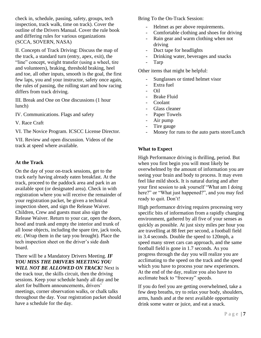check in, schedule, passing, safety, groups, tech inspection, track walk, time on track). Cover the outline of the Drivers Manual. Cover the rule book and differing rules for various organizations (SCCA, SOVERN, NASA)

II. Concepts of Track Driving: Discuss the map of the track, a standard turn (entry, apex, exit), the "line" concept, weight transfer (using a wheel, tire and volunteers), braking, threshold braking, heel and toe, all other inputs, smooth is the goal, the first few laps, you and your instructor, safety once again, the rules of passing, the rolling start and how racing differs from track driving.

III. Break and One on One discussions (1 hour lunch)

IV. Communications. Flags and safety

V. Race Craft

VI. The Novice Program. ICSCC License Director.

VII. Review and open discussion. Videos of the track at speed where available.

## **At the Track**

On the day of your on-track sessions, get to the track early having already eaten breakfast. At the track, proceed to the paddock area and park in an available spot (or designated area). Check in with registration where you will receive the remainder of your registration packet, be given a technical inspection sheet, and sign the Release Waiver. Children, Crew and guests must also sign the Release Waiver. Return to your car, open the doors, hood and trunk and empty the interior and trunk of all loose objects, including the spare tire, jack tools, etc. (Wrap them in the tarp you brought). Place the tech inspection sheet on the driver's side dash board.

There will be a Mandatory Drivers Meeting. *IF YOU MISS THE DRIVERS MEETING YOU WILL NOT BE ALLOWED ON TRACK!* Next is the track tour, the skills circuit, then the driving sessions. Keep your schedule handy all day and be alert for bullhorn announcements, drivers' meetings, corner observation walks, or chalk talks throughout the day. Your registration packet should have a schedule for the day.

Bring To the On-Track Session:

- Helmet as per above requirements.
- Comfortable clothing and shoes for driving
- Rain gear and warm clothing when not driving
- Duct tape for headlights
- Drinking water, beverages and snacks
- Tarp

Other items that might be helpful:

- Sunglasses or tinted helmet visor
- Extra fuel
- Oil
- Brake Fluid
- Coolant<sub>.</sub>
- Glass cleaner
- Paper Towels
- Air pump
- Tire gauge
- Money for runs to the auto parts store/Lunch

# **What to Expect**

High Performance driving is thrilling, period. But when you first begin you will most likely be overwhelmed by the amount of information you are seeing your brain and body to process. It may even feel like mild shock. It is natural during and after your first session to ask yourself "What am I doing here?" or "What just happened?", and you may feel ready to quit. Don't!

High performance driving requires processing very specific bits of information from a rapidly changing environment, gathered by all five of your senses as quickly as possible. At just sixty miles per hour you are travelling at 88 feet per second, a football field in 3.4 seconds. Double the speed to 120mph, a speed many street cars can approach, and the same football field is gone in 1.7 seconds. As you progress through the day you will realize you are acclimating to the speed on the track and the speed which you have to process your new experiences. At the end of the day, realize you also have to acclimate back to "freeway" speeds.

If you do feel you are getting overwhelmed, take a few deep breaths, try to relax your body, shoulders, arms, hands and at the next available opportunity drink some water or juice, and eat a snack.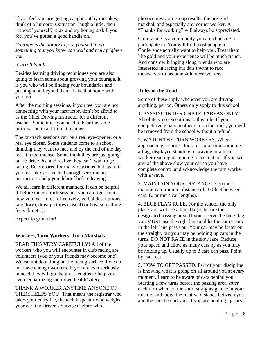If you feel you are getting caught out by mistakes, think of a humorous situation, laugh a little, then "reboot" yourself, relax and try honing a skill you feel you've gotten a good handle on.

*Courage is the ability to fore yourself to do something that you know can well and truly frighten you.*

# *-Carroll Smith*

Besides learning driving techniques you are also going to learn some about growing your courage. It is you who will be finding your boundaries and pushing a bit beyond them. Take that home with you too.

After the morning sessions, if you feel you are not connecting with your instructor, don't be afraid to as the Chief Driving Instructor for a different teacher. Sometimes you need to hear the same information in a different manner.

The on-track sessions can be a real eye-opener, or a real eye closer. Some students come to a school thinking they want to race and by the end of the day feel it's too intense. Some think they are just going out to drive fast and realize they can't wait to get racing. Be prepared for many reactions, but again if you feel like you've had enough seek out an instructor to help you debrief before leaving.

We all learn in different manners. It can be helpful if before the on-track sessions you can figure out how you learn most effectively, verbal descriptions (auditory), draw pictures (visual) or how something feels (kinetic).

Expect to grin a lot!

# **Workers, Turn Workers, Turn Marshals**

READ THIS VERY CAREFULLY! All of the workers who you will encounter in club racing are volunteers (you or your friends may become one). We cannot do a thing on the racing surface if we do not have enough workers. If you are ever seriously in need they will go the great lengths to help you, even jeopardizing their own health/safety.

THANK A WORKER ANYTIME ANYONE OF THEM HELPS YOU! That means the registrar who takes your entry fee, the tech inspector who weighs your car, the Driver's Services helper who

photocopies your group results, the pre-grid marshal, and especially any corner worker. A "Thanks for working" will always be appreciated.

Club racing is a community you are choosing to participate in. You will find most people in Conference actually want to help you. Treat them like gold and your experience will be much richer. And consider bringing along friends who are interested in racing but don't want to race themselves to become volunteer workers.

# **Rules of the Road**

Some of these apply whenever you are driving anything, period. Others only apply to this school.

1. PASSING IN DESIGNATED AREAS ONLY! Absolutely no exceptions to this rule. If you competitively pass another car on the track, you will be removed from the school without a refund.

2. WATCH THE TURN WORKERS. When approaching a corner, look for color or motion, i.e. a flag, displayed standing or waving or a turn worker reacting or running to a situation. If you see any of the above slow your car so you have complete control and acknowledge the turn worker with a wave.

3. MAINTAIN YOUR DISTANCE. You must maintain a minimum distance of 100 feet between cars. (6 or more car lengths).

4. BLUE FLAG RULE. For the school, the only place you will see a blue flag is before the designated passing area. If you receive the blue flag, you MUST use the right lane and let the car or cars in the left lane pass you. Your car may be faster on the straight, but you may be holding up cars in the turns. DO NOT RACE in the slow lane. Reduce your speed and allow as many cars by as you may be holding up. Usually up to 3 cars can pass. Point by each car.

5. HOW TO GET PASSED. Part of your discipline is knowing what is going on all around you at every moment. Learn to be aware of cars behind you. Starting a few turns before the passing area, *after* each turn when on the short straights glance in your mirrors and judge the relative distance between you and the cars behind you. If you are holding up cars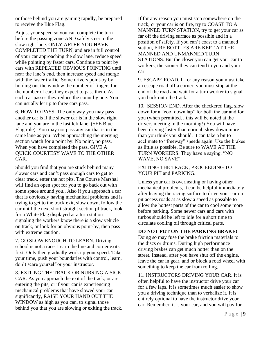or those behind you are gaining rapidly, be prepared to receive the Blue Flag.

Adjust your speed so you can complete the turn before the passing zone AND safely steer to the slow right lane. ONLY AFTER YOU HAVE COMPLETED THE TURN, and are in full control of your car approaching the slow lane, reduce speed while pointing by faster cars. Continue to point by cars with REPEATED OBVIOUS POINTING until near the lane's end, then increase speed and merge with the faster traffic. Some drivers point-by by holding out the window the number of fingers for the number of cars they expect to pass them. As each car passes they reduce the count by one. You can usually let up to three cars pass.

6. HOW TO PASS. The only way you may pass another car is if the slower car is in the slow right lane and you are in the fast left lane. (SEE Blue Flag rule). You may not pass any car that is in the same lane as you! When approaching the merging section watch for a point by. No point, no pass. When you have completed the pass, GIVE A QUICK COURTESY WAVE TO THE OTHER CAR.

Should you find that you are stuck behind many slower cars and can't pass enough cars to get to clear track, enter the hot pits. The Course Marshal will find an open spot for you to go back out with some space around you., Also if you approach a car that is obviously having mechanical problems and is trying to get to the track exit, slow down, follow the car until the next short straight section pf track, look for a White Flag displayed at a turn station signaling the workers know there is a slow vehicle on track, or look for an obvious point-by, then pass with extreme caution.

7. GO SLOW ENOUGH TO LEARN. Driving school is not a race. Learn the line and corner exits first. Only then gradually work up your speed. Take your time, push your boundaries with control, learn, don't scare yourself or your instructor.

8. EXITING THE TRACK OR NURSING A SICK CAR. As you approach the exit of the track, or are entering the pits, or if your car is experiencing mechanical problems that have slowed your car significantly, RAISE YOUR HAND OUT THE WINDOW as high as you can, to signal those behind you that you are slowing or exiting the track. If for any reason you must stop somewhere on the track, or your car is on fire, try to COAST TO A MANNED TURN STATION, try to get your car as far off the driving surface as possible and in a position of safety. If you can't coast to a manned station, FIRE BOTTLES ARE KEPT AT THE MANNED AND UNMANNED TURN STATIONS. But the closer you can get your car to workers, the sooner they can tend to you and your car.

9. ESCAPE ROAD. If for any reason you must take an escape road off a corner, you must stop at the end of the road and wait for a turn worker to signal you back onto the track.

10. SESSION END. After the checkered flag, slow down for a "cool down lap" for both the car and for you (when permitted…this will be noted at the drivers meeting in the morning!) You will have been driving faster than normal, slow down more than you think you should. It can take a bit to acclimate to "freeway" speeds again. Use the brakes as little as possible. Be sure to WAVE AT THE TURN WORKERS. They have a saying, "NO WAVE, NO SAVE".

## EXITING THE TRACK, PROCEEDING TO YOUR PIT and PARKING.

Unless your car is overheating or having other mechanical problems, it can be helpful immediately after leaving the racing surface to drive your car on pit access roads at as slow a speed as possible to allow the hottest parts of the car to cool some more before parking. Some newer cars and cars with turbos should be left to idle for a short time to circulate cooling oil through critical parts.

# **DO NOT PUT ON THE PARKING BRAKE!**

Doing so may fuse the brake friction materials to the discs or drums. During high performance driving brakes can get much hotter than on the street. Instead, after you have shut off the engine, leave the car in gear, and or block a road wheel with something to keep the car from rolling.

11. INSTRUCTORS DRIVING YOUR CAR. It is often helpful to have the instructor drive your car for a few laps. It is sometimes much easier to show you a driving technique than to verbalize it. It is entirely optional to have the instructor drive your car. Remember, it is your car, and you will pay for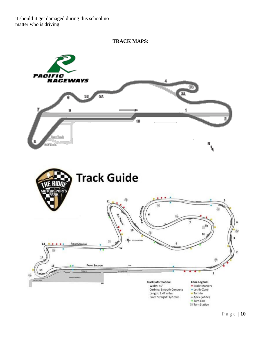it should it get damaged during this school no matter who is driving.



P a g e | **10**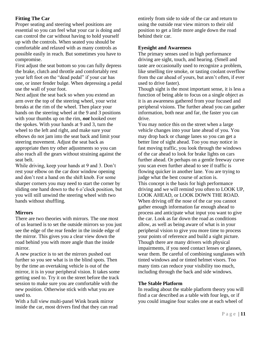# **Fitting The Car**

Proper seating and steering wheel positions are essential so you can feel what your car is doing and can control the car without having to hold yourself up with the controls. When seated you should be comfortable and relaxed with as many controls as possible easily in reach. But sometimes you have to compromise.

First adjust the seat bottom so you can fully depress the brake, clutch and throttle and comfortably rest your left foot on the "dead pedal" if your car has one, or inner fender bulge. When depressing a pedal use the wall of your foot.

Next adjust the seat back so when you extend an arm over the top of the steering wheel, your wrist breaks at the rim of the wheel. Then place your hands on the steering wheel at the 9 and 3 positions with your thumbs up on the rim, *not* hooked over the spokes. With your hands at 9 and 3, turn the wheel to the left and right, and make sure your elbows do not jam into the seat back and limit your steering movement. Adjust the seat back as appropriate then try other adjustments so you can also reach all the gears without straining against the seat belt.

While driving, keep your hands at 9 and 3. Don't rest your elbow on the car door window opening and don't rest a hand on the shift knob. For some sharper corners you may need to start the corner by sliding one hand down to the 6 o'clock position, but you will still unwind the steering wheel with two hands without shuffling.

# **Mirrors**

There are two theories with mirrors. The one most of us learned is to set the outside mirrors so you just see the edge of the rear fender in the inside edge of the mirror. This gives you a clear view down the road behind you with more angle than the inside mirror.

A new practice is to set the mirrors pushed out further so you see what is in the blind spots. Then by the time an overtaking vehicle is out of the mirror, it is in your peripheral vision. It takes some getting used to. Try it on the street before the track session to make sure you are comfortable with the new position. Otherwise stick with what you are used to.

With a full view multi-panel Wink brank mirror inside the car, most drivers find that they can read entirely from side to side of the car and return to using the outside rear view mirrors to their old position to get a little more angle down the road behind their car.

# **Eyesight and Awareness**

The primary senses used in high performance driving are sight, touch, and hearing. (Smell and taste are occasionally used to recognize a problem, like smelling tire smoke, or tasting coolant overflow from the car ahead of yours, but aren't often, if ever used to drive faster).

Though sight is the most important sense, it is less a function of being able to focus on a single object as it is an awareness gathered from your focused and peripheral visions. The further ahead you can gather information, both near and far, the faster you can drive.

You may notice this on the street when a large vehicle changes into your lane ahead of you. You may drop back or change lanes so you can get a better line of sight ahead. Too you may notice in fast moving traffic, you look through the windows of the car ahead to look for brake lights on cars further ahead. Or perhaps on a gentle freeway curve you scan even further ahead to see if traffic is flowing quicker in another lane. You are trying to judge what the best course of action is. This concept is the basis for high performance driving and we will remind you often to LOOK UP, LOOK AHEAD, or LOOK DOWN THE ROAD. When driving off the nose of the car you cannot gather enough information far enough ahead to process and anticipate what input you want to give the car. Look as far down the road as conditions allow, as well as being aware of what is in your peripheral vision to give you more time to process your points of reference and build a sight picture. Though there are many drivers with physical impairments, if you need contact lenses or glasses, wear them. Be careful of combining sunglasses with tinted windows and or tinted helmet visors. Too many tints can reduce your visibility too much, including through the back and side windows.

# **The Stable Platform**

In reading about the stable platform theory you will find a car described as a table with four legs, or if you could imagine four scales one at each wheel of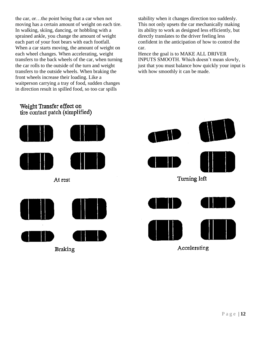the car, or…the point being that a car when not moving has a certain amount of weight on each tire. In walking, skiing, dancing, or hobbling with a sprained ankle, you change the amount of weight each part of your foot bears with each footfall. When a car starts moving, the amount of weight on each wheel changes. When accelerating, weight transfers to the back wheels of the car, when turning the car rolls to the outside of the turn and weight transfers to the outside wheels. When braking the front wheels increase their loading. Like a waitperson carrying a tray of food, sudden changes in direction result in spilled food, so too car spills

stability when it changes direction too suddenly. This not only upsets the car mechanically making its ability to work as designed less efficiently, but directly translates to the driver feeling less confident in the anticipation of how to control the car.

Hence the goal is to MAKE ALL DRIVER INPUTS SMOOTH. Which doesn't mean slowly, just that you must balance how quickly your input is with how smoothly it can be made.

# Weight Transfer effect on tire contact patch (simplified)



Turning left Accelerating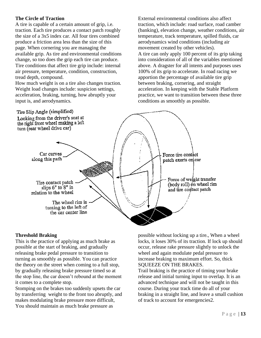# **The Circle of Traction**

A tire is capable of a certain amount of grip, i.e. traction. Each tire produces a contact patch roughly the size of a 3x5 index car. All four tires combined produce a friction area less than the size of this page. When cornering you are managing the available grip. As tire and environmental conditions change, so too does the grip each tire can produce. Tire conditions that affect tire grip include: internal air pressure, temperature, condition, construction, tread depth, compound.

How much weight is on a tire also changes traction. Weight load changes include: suspicion settings, acceleration, braking, turning, how abruptly your input is, and aerodynamics.

External environmental conditions also affect traction, which include: road surface, road camber (banking), elevation change, weather conditions, air temperature, track temperature, spilled fluids, car aerodynamics wind conditions (including air movement created by other vehicles). A tire can only apply 100 percent of its grip taking into consideration of all of the variables mentioned above. A dragster for all intents and purposes uses 100% of its grip to accelerate. In road racing we apportion the percentage of available tire grip between braking, cornering, and straight acceleration. In keeping with the Stable Platform practice, we want to transition between these three conditions as smoothly as possible.



# **Threshold Braking**

This is the practice of applying as much brake as possible at the start of braking, and gradually releasing brake pedal pressure to transition to turning as smoothly as possible. You can practice the theory on the street when coming to a full stop, by gradually releasing brake pressure timed so at the stop line, the car doesn't rebound at the moment it comes to a complete stop.

Stomping on the brakes too suddenly upsets the car by transferring weight to the front too abruptly, and makes modulating brake pressure more difficult, You should maintain as much brake pressure as

possible without locking up a tire., When a wheel locks, it loses 30% of its traction. If lock up should occur, release rake pressure slightly to unlock the wheel and again modulate pedal pressure to increase braking to maximum effort. So, thick SQUEEZE ON THE BRAKES.

Trail braking is the practice of timing your brake release and initial turning input to overlap. It is an advanced technique and will not be taught in this course. During your track time do all of your braking in a straight line, and leave a small cushion of track to account for emergencies2.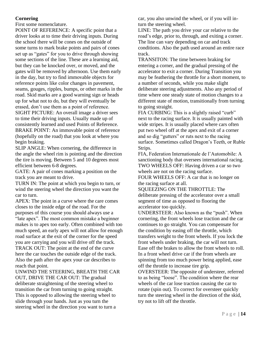# **Cornering**

First some nomenclature.

POINT OF REFERENCE: A specific point that a driver looks at to time their driving inputs. During the school there will be cones on the outside of some turns to mark brake points and pairs of cones set up as "gates" for you to drive through showing some sections of the line. These are a learning aid, but they can be knocked over, or moved, and the gates will be removed by afternoon. Use them early in the day, but try to find immovable objects for reference points like color changes in pavement, seams, gouges, ripples, bumps, or other marks in the road. Skid marks are a good warning sign or heads up for what not to do, but they will eventually be erased, don't use them as a point of reference. SIGHT PICTURE: An overall image a driver sees to time their driving inputs. Usually made up of consistently learned and used Points of Reference. BRAKE POINT: An immovable point of reference (hopefully on the road) that you look at where you begin braking.

SLIP ANGLE: When cornering, the difference in the angle the wheel rim is pointing and the direction the tire is moving. Between 5 and 10 degrees most efficient between 6-8 degrees.

GATE: A pair of cones marking a position on the track you are meant to drive.

TURN IN: The point at which you begin to turn, or wind the steering wheel the direction you want the car to turn.

APEX: The point in a curve where the care comes closes to the inside edge of the road. For the purposes of this course you should always use a "late apex". The most common mistake a beginner makes is to apex too early. Often combined with too much speed, an early apex will not allow for enough road surface at the exit of the corner for the speed you are carrying and you will drive off the track. TRACK OUT: The point at the end of the curve here the car touches the outside edge of the track. Also the path after the apex your car describes to reach that point.

UNWIND THE STEERING, BREATH THE CAR OUT, DRIVE THE CAR OUT: The gradual deliberate straightening of the steering wheel to transition the car from turning to going straight. This is opposed to allowing the steering wheel to slide through your hands. Just as you turn the steering wheel in the direction you want to turn a

car, you also unwind the wheel, or if you will inturn the steering wheel.

LINE: The path you drive your car relative to the road's edge, prior to, through, and exiting a corner. The line can vary depending on car and track conditions. Also the path used around an entire race track.

TRANSITON: The time between braking for entering a corner, and the gradual pressing of the accelerator to exit a corner. During Transition you may be feathering the throttle for a short moment, to a number of seconds, while you make slight deliberate steering adjustments. Also any period of time where one steady state of motion changes to a different state of motion, transitionally from turning to going straight.

FIA CURBING: This is a slightly raised "curb" next to the racing surface. It is usually painted with wide stripes. It is usually placed where cars often put two wheel off at the apex and exit of a corner and so dig "gutters" or ruts next to the racing surface. Sometimes called Dragon's Teeth, or Ruble Strips.

FIA, Federation Internationale de l'Automobile: A sanctioning body that oversees international racing. TWO WHEELS OFF: Having driven a car so two wheels are not on the racing surface.

FOUR WHEELS OFF: A car that is no longer on the racing surface at all.

SQUEEZING ON THE THROTTLE: The deliberate pressing of the accelerator over a small segment of time as opposed to flooring the accelerator too quickly.

UNDERSTEER: Also known as the "push". When cornering, the front wheels lose traction and the car continues to go straight. You can compensate for the condition by easing off the throttle, which transfers weight to the front wheels. If you lock the front wheels under braking, the car will not turn. Ease off the brakes to allow the front wheels to roll. In a front wheel drive car if the from wheels are spinning from too much power being applied, ease off the throttle to increase tire grip.

OVERSTEER: The opposite of understeer, referred to as being "loose". The condition where the rear wheels of the car lose traction causing the car to rotate (spin out). To correct for oversteer quickly turn the steering wheel in the direction of the skid, try not to lift off the throttle.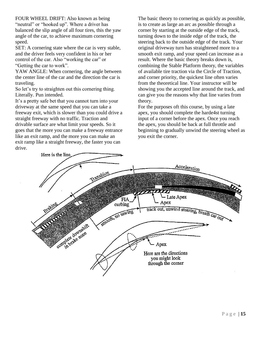FOUR WHEEL DRIFT: Also known as being "neutral" or "hooked up". Where a driver has balanced the slip angle of all four tires, this the yaw angle of the car, to achieve maximum cornering speed.

SET: A cornering state where the car is very stable, and the driver feels very confident in his or her control of the car. Also "working the car" or "Getting the car to work".

YAW ANGLE: When cornering, the angle between the center line of the car and the direction the car is traveling.

So let's try to straighten out this cornering thing. Literally. Pun intended.

It's a pretty safe bet that you cannot turn into your driveway at the same speed that you can take a freeway exit, which is slower than you could drive a straight freeway with no traffic. Traction and drivable surface are what limit your speeds. So it goes that the more you can make a freeway entrance like an exit ramp, and the more you can make an exit ramp like a straight freeway, the faster you can drive.

The basic theory to cornering as quickly as possible, is to create as large an arc as possible through a corner by starting at the outside edge of the track, turning down to the inside edge of the track, the steering back to the outside edge of the track. Your original driveway turn has straightened more to a smooth exit ramp, and your speed can increase as a result. Where the basic theory breaks down is, combining the Stable Platform theory, the variables of available tire traction via the Circle of Traction, and corner priority, the quickest line often varies from the theoretical line. Your instructor will be showing you the accepted line around the track, and can give you the reasons why that line varies from theory.

For the purposes oft this course, by using a late apex, you should complete the harde4st turning input of a corner before the apex. Once you reach the apex, you should be back at full throttle and beginning to gradually unwind the steering wheel as you exit the corner.

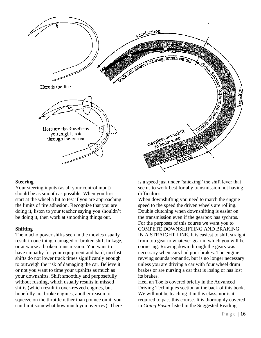

#### **Steering**

Your steering inputs (as all your control input) should be as smooth as possible. When you first start at the wheel a bit to test if you are approaching the limits of tire adhesion. Recognize that you are doing it, listen to your teacher saying you shouldn't be doing it, then work at smoothing things out.

#### **Shifting**

The macho power shifts seen in the movies usually result in one thing, damaged or broken shift linkage, or at worse a broken transmission. You want to have empathy for your equipment and hard, too fast shifts do not lower track times significantly enough to outweigh the risk of damaging the car. Believe it or not you want to time your upshifts as much as your downshifts. Shift smoothly and purposefully without rushing, which usually results in missed shifts (which result in over-revved engines, but hopefully not broke engines, another reason to squeeze on the throttle rather than pounce on it, you can limit somewhat how much you over-rev). There is a speed just under "snicking" the shift lever that seems to work best for aby transmission not having difficulties.

When downshifting you need to match the engine speed to the speed the driven wheels are rolling. Double clutching when downshifting is easier on the transmission even if the gearbox has sychros. For the purposes of this course we want you to COMPETE DOWNSHIFTING AND BRAKING IN A STRAIGHT LINE. It is easiest to shift straight from top gear to whatever gear in which you will be cornering. Rowing down through the gears was necessary when cars had poor brakes. The engine revving sounds romantic, but is no longer necessary unless you are driving a car with four wheel drum brakes or are nursing a car that is losing or has lost its brakes.

Heel an Toe is covered briefly in the Advanced Driving Techniques section at the back of this book. We will not be teaching it in this class, nor is it required to pass this course. It is thoroughly covered in *Going Faster* listed in the Suggested Reading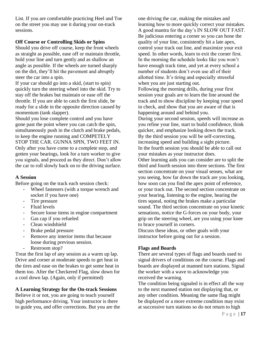List. If you are comfortable practicing Heel and Toe on the street you may use it during your on-track sessions.

## **Off Course or Controlling Skids or Spins**

Should you drive off course, keep the front wheels as straight as possible, ease off or maintain throttle, hold your line and turn gently and as shallow an angle as possible. If the wheels are turned sharply on the dirt, they'll hit the pavement and abruptly steer the car into a spin.

If your car should go into a skid, (start to spin) quickly turn the steering wheel into the skid. Try to stay off the brakes but maintain or ease off the throttle. If you are able to catch the first slide, be ready for a slide in the opposite direction caused by momentum (tank slapper).

Should you lose complete control and you have gone past the point where you can catch the spin, simultaneously push in the clutch and brake pedals, to keep the engine running and COMPETELY STOP THE CAR. GUNNA SPIN, TWO FEET IN. Only after you have come to a complete stop, and gotten your bearings, look for a turn worker to give you signals, and proceed as they direct. Don't allow the car to roll slowly back on to the driving surface.

#### **A Session**

Before going on the track each session check:

- Wheel fasteners (with a torque wrench and socket if you have one)
- Tire pressure
- Fluid levels
- Secure loose items in engine compartment
- Gas cap if you refueled
- Clean windshield
- Brake pedal pressure
- Remove any interior items that because loose during previous session.
- Restroom stop?

Treat the first lap of any session as a warm up lap. Drive and corner at moderate speeds to get heat in the tires and ease on the brakes to get some heat in them too. After the Checkered Flag, slow down for a cool down lap. (Again, only if permitted)

**A Learning Strategy for the On-track Sessions** Believe it or not, you are going to teach yourself high performance driving. Your instructor is there to guide you, and offer corrections. But you are the one driving the car, making the mistakes and learning how to more quickly correct your mistakes. A good mantra for the day's IN SLOW OUT FAST. Be judicious entering a corner so you can hone the quality of your line, consistently hit a late apex, control your track out line, and maximize your exit speed. In other words, learn to exit the corner first. In the morning the schedule looks like you won't have enough track time, and yet at every school a number of students don't even use all of their allotted time. It's tiring and especially stressful when you are just starting out.

Following the morning drills, during your first session your goals are to learn the line around the track and to show discipline by keeping your speed in check, and show that you are aware of that is happening around and behind you.

During your second session, speeds will increase as you refine your line, start to build confidence, think quicker, and emphasize looking down the track. By the third session you will be self-correcting, increasing speed and building a sight picture. In the fourth session you should be able to call out your mistakes as your instructor does.

Other learning aids you can consider are to split the third and fourth session into three sections. The first section concentrate on your visual senses, what are you seeing, how far down the track are you looking, how soon can you find the apex point of reference, or your track out. The second section concentrate on your hearing, listening to the engine, hearing the tires squeal, noting the brakes make a particular sound. The third section concentrate on your kinetic sensations, notice the G-forces on your body, your grip on the steering wheel, are you using your knee to brace yourself in corners.

Discuss these ideas, or other goals with your instructor before going out for a session.

# **Flags and Boards**

There are several types of flags and boards used to signal drivers of conditions on the course. Flags and boards are displayed at manned turn stations. Signal the worker with a wave to acknowledge you received the warning.

The condition being signaled is in effect all the way to the next manned station not displaying that, or any other condition. Meaning the same flag might be displayed or a more extreme condition may exist at successive turn stations so do not return to high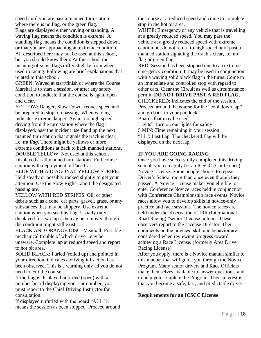speed until you are past a manned turn station where there is no flag, or the green flag. Flags are displayed either waving or standing. A waving flag means the condition is extreme. A standing flag means the condition is stepped down, or that you are approaching an extreme condition. All described here may not be used at this school, but you should know them. At this school the meaning of some flags differ slightly from when used in racing. Following are brief explanations that related to this school.

GREEN: Waved at start/finish or where the Course Marshal is to start a session, or after any safety condition to indicate that the course is again open and clear.

YELLOW: Danger, Slow Down, reduce speed and be prepared to stop, no passing. When waving indicates extreme danger. Again, no high speed driving from the turn station where the flag I displayed, past the incident itself and up the next manned turn station that signals the track is clear, i.e. *no flag*. There might be yellows or more extreme conditions at back to back manned stations. DOUBLE TELLOW: Not used at this school. Displayed at all manned turn stations. Full course caution with deployment of Pace Car.

BLUE WITH A DIAGONAL YELLOW STRIPE: Held steady or possibly rocked slightly to get your attention. Use the Slow Right Lane I the designated passing are.

YELLOW WITH RED STRIPES: Oil, or other debris such as a cone, car parts, gravel, grass, or any substances that may be slippery. Use extreme caution when you see this flag. Usually only displayed for two laps, then ay be removed though the condition might still exist

BLACK AND ORANGE DISC: Meatball. Possible mechanical trouble of which driver may be unaware. Complete lap at reduced speed and report to hot pit area.

SOLID BLACK: Furled (rolled up) and pointed in your direction, indicates a driving infraction has been observed. This is a warning only ad you do not need to exit the course.

If the flag is displayed unfurled (open) with a number board displaying your car number, you must report to the Chief Driving Instructor for consultation.

If displayed unfurled with the board "ALL" it means the session as been stopped. Proceed around the course at a reduced speed and come to complete stop in the hot pit area.

WHITE: Emergency or any vehicle that is travelling at a greatly reduced speed. You may pass the vehicle at a greatly reduced speed with extreme caution but do not return to high speed until past a manned station signaling the track s clear, i.e. no flag or green flag.

RED: Session has been stopped due to an extreme emergency condition. It may be used in conjunction with a waving solid black flag in the turns. Come to an immediate and controlled stop with regard to other cars. Clear the Circuit as well as circumstance permit. **DO NOT DRIVE PAST A RED FLAG**. CHECKERED: Indicates the end of the session. Proceed around the course for the "cool down lap" and go back to your paddock. Boards that may be used: Lights"; turn on our lights for safety 5 MIN: Time remaining in your session "LL": Last Lap. The checkered flag will be displayed on the next lap.

# **IF YOU ARE GOING RACING**

Once you have successfully completed this driving school, you can apply for an ICSCC (Conference) Novice License. Some people choose to repeat Driver's School more than once even though they passed. A Novice License makes you eligible to enter Conference Novice races held in conjunction with Conference Championship race events. Novice races allow you to develop skills in novice-only practice and race sessions. The novice races are held under the observation of IRR (International Road Racing) "senior" license holders. These observers report to the License Director. Their comments on the novices' skill and behavior are considered when reviewing progress toward achieving a Race License. (formerly Area Driver Racing License).

After you apply, there is a Novice manual similar to this manual that will guide you through the Novice Program. Many senior drivers and Race Officials make themselves available to answer questions, and to help you complete the Program. Their interest is that you become a safe, fast, and predictable driver.

#### **Requirements for an ICSCC License**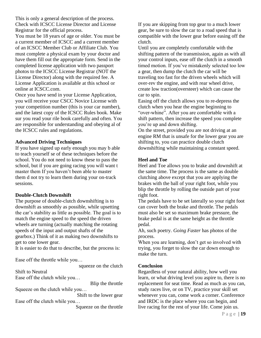This is only a general description of the process. Check with ICSCC License Director and License Registrar for the official process.

You must be 18 years of age or older. You must be a current member of ICSCC and a current member of an ICSCC Member Club or Affiliate Club. You must complete a physical exam by your doctor and have them fill out the appropriate form. Send in the completed license application with two passport photos to the ICSCC License Registrar (NOT the License Director) along with the required fee. A License Application is available at this school or online at ICSCC.com.

Once you have send in your License Application, you will receive your CSCC Novice License with your competition number (this is your car number), and the latest copy of the ICSCC Rules book. Make sur you read your rile book carefully and often. You are responsible for understanding and obeying al of the ICSCC rules and regulations.

# **Advanced Driving Techniques**

If you have signed up early enough you may b able to teach yourself se of these techniques before the school. You do not need to know these to pass the school, but if you are going racing you will want t master them If you haven't been able to master them d not try to learn them during your on-track sessions.

# **Double-Clutch Downshift**

The purpose of double-clutch downshifting is to downshift as smoothly as possible, while upsetting the car's stability as little as possible. The goal is to match the engine speed to the speed the driven wheels are turning (actually matching the rotating speeds of the input and output shafts of the gearbox.) Think of it as making two downshifts to get to one lower gear.

It is easier to do that to describe, but the process is:

Ease off the throttle while you…

squeeze on the clutch

Shift to Neutral

Ease off the clutch while you…

Blip the throttle

Squeeze on the clutch while you…

Shift to the lower gear Ease off the clutch while you…

Squeeze on the throttle

If you are skipping from top gear to a much lower gear, be sure to slow the car to a road speed that is compatible with the lower gear before easing off the clutch.

Until you are completely comfortable with the shifting pattern of the transmission, again as with all your control inputs, ease off the clutch in a smooth timed motion. If you've mistakenly selected too low a gear, then dump the clutch the car will be traveling too fast for the driven wheels which will over-rev the engine, and with rear wheel drive, create low traction(oversteer) which can cause the car to spin.

Easing off the clutch allows you to re-depress the clutch when you hear the engine beginning to "over-whine". After you are comfortable with a shift pattern, then increase the speed you complete you're up and down shifting.

On the street, provided you are not driving at an engine RM that is unsafe for the lower gear you are shifting to, you can practice double clutch downshifting while maintaining a constant speed.

## **Heel and Toe**

Heel and Toe allows you to brake and downshift at the same time. The process is the same as double clutching above except that you are applying the brakes with the ball of your right foot, while you blip the throttle by rolling the outside part of your right foot.

The pedals have to be set laterally so your right foot can cover both the brake and throttle. The pedals must also be set so maximum brake pressure, the brake pedal is at the same height as the throttle pedal.

Ah, such poetry. *Going Faster* has photos of the process.

When you are learning, don't get so involved with trying, you forget to slow the car down enough to make the turn.

#### **Conclusion**

Regardless of your natural ability, how well you learn, or what driving level you aspire to, there is no replacement for seat time. Read as much as you can, study races live, or on TV, practice your skill set whenever you can, come work a corner. Conference and IRDC is the place where you can begin, and live racing for the rest of your life. Come join us.